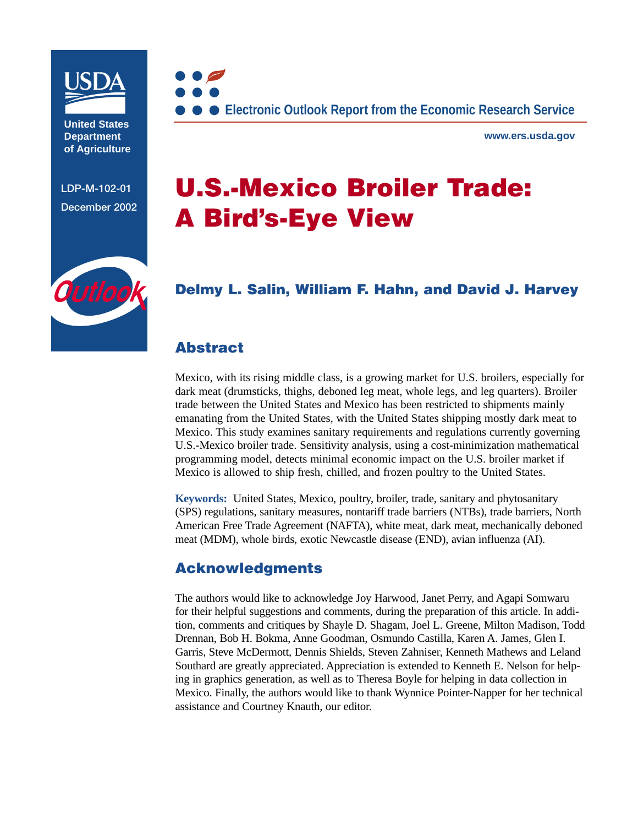

**United States Department of Agriculture**

**LDP-M-102-01 December 2002**



**www.ers.usda.gov**

# **U.S.-Mexico Broiler Trade: A Bird's-Eye View**

### **[Delmy L. Salin,](mailto:dsalin@ers.usda.gov) [William F. Hahn,](mailto:whahn@ers.usda.gov) and [David J. Harvey](mailto:djharvey@ers.usda.gov)**

### **Abstract**

Mexico, with its rising middle class, is a growing market for U.S. broilers, especially for dark meat (drumsticks, thighs, deboned leg meat, whole legs, and leg quarters). Broiler trade between the United States and Mexico has been restricted to shipments mainly emanating from the United States, with the United States shipping mostly dark meat to Mexico. This study examines sanitary requirements and regulations currently governing U.S.-Mexico broiler trade. Sensitivity analysis, using a cost-minimization mathematical programming model, detects minimal economic impact on the U.S. broiler market if Mexico is allowed to ship fresh, chilled, and frozen poultry to the United States.

**Keywords:** United States, Mexico, poultry, broiler, trade, sanitary and phytosanitary (SPS) regulations, sanitary measures, nontariff trade barriers (NTBs), trade barriers, North American Free Trade Agreement (NAFTA), white meat, dark meat, mechanically deboned meat (MDM), whole birds, exotic Newcastle disease (END), avian influenza (AI).

### **Acknowledgments**

The authors would like to acknowledge Joy Harwood, Janet Perry, and Agapi Somwaru for their helpful suggestions and comments, during the preparation of this article. In addition, comments and critiques by Shayle D. Shagam, Joel L. Greene, Milton Madison, Todd Drennan, Bob H. Bokma, Anne Goodman, Osmundo Castilla, Karen A. James, Glen I. Garris, Steve McDermott, Dennis Shields, Steven Zahniser, Kenneth Mathews and Leland Southard are greatly appreciated. Appreciation is extended to Kenneth E. Nelson for helping in graphics generation, as well as to Theresa Boyle for helping in data collection in Mexico. Finally, the authors would like to thank Wynnice Pointer-Napper for her technical assistance and Courtney Knauth, our editor.

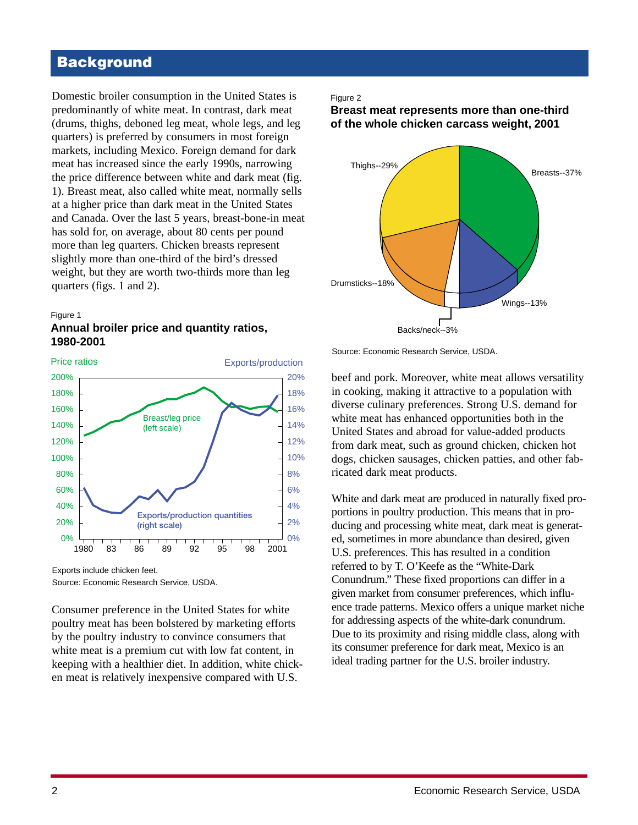# **Background**

Domestic broiler consumption in the United States is predominantly of white meat. In contrast, dark meat (drums, thighs, deboned leg meat, whole legs, and leg quarters) is preferred by consumers in most foreign markets, including Mexico. Foreign demand for dark meat has increased since the early 1990s, narrowing the price difference between white and dark meat (fig. 1). Breast meat, also called white meat, normally sells at a higher price than dark meat in the United States and Canada. Over the last 5 years, breast-bone-in meat has sold for, on average, about 80 cents per pound more than leg quarters. Chicken breasts represent slightly more than one-third of the bird's dressed weight, but they are worth two-thirds more than leg quarters (figs. 1 and 2).



### **Annual broiler price and quantity ratios, 1980-2001**



Exports include chicken feet.

Source: Economic Research Service, USDA.

Consumer preference in the United States for white poultry meat has been bolstered by marketing efforts by the poultry industry to convince consumers that white meat is a premium cut with low fat content, in keeping with a healthier diet. In addition, white chicken meat is relatively inexpensive compared with U.S.

#### Figure 2

#### **Breast meat represents more than one-third of the whole chicken carcass weight, 2001**



Source: Economic Research Service, USDA.

beef and pork. Moreover, white meat allows versatility in cooking, making it attractive to a population with diverse culinary preferences. Strong U.S. demand for white meat has enhanced opportunities both in the United States and abroad for value-added products from dark meat, such as ground chicken, chicken hot dogs, chicken sausages, chicken patties, and other fabricated dark meat products.

White and dark meat are produced in naturally fixed proportions in poultry production. This means that in producing and processing white meat, dark meat is generated, sometimes in more abundance than desired, given U.S. preferences. This has resulted in a condition referred to by T. O'Keefe as the "White-Dark Conundrum." These fixed proportions can differ in a given market from consumer preferences, which influence trade patterns. Mexico offers a unique market niche for addressing aspects of the white-dark conundrum. Due to its proximity and rising middle class, along with its consumer preference for dark meat, Mexico is an ideal trading partner for the U.S. broiler industry.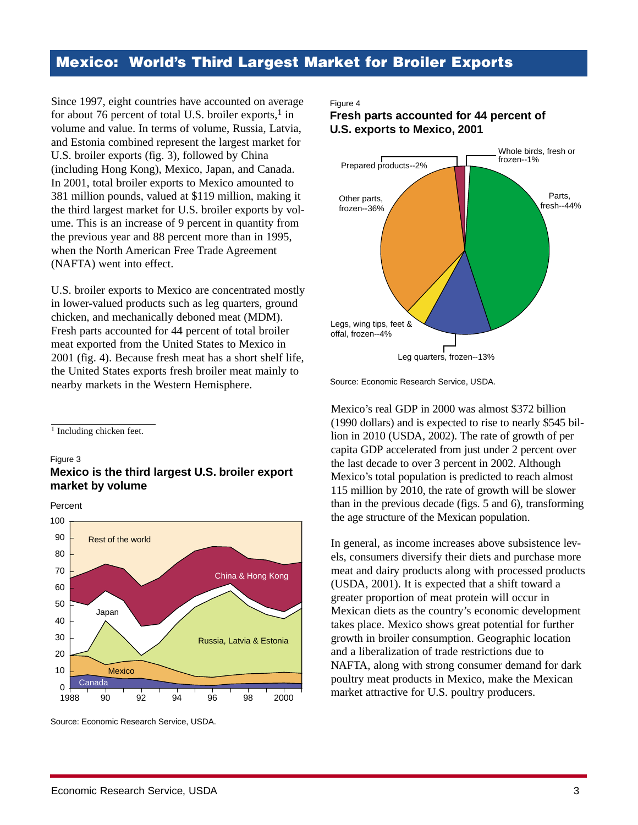### **Mexico: World's Third Largest Market for Broiler Exports**

Since 1997, eight countries have accounted on average for about 76 percent of total U.S. broiler exports, $<sup>1</sup>$  in</sup> volume and value. In terms of volume, Russia, Latvia, and Estonia combined represent the largest market for U.S. broiler exports (fig. 3), followed by China (including Hong Kong), Mexico, Japan, and Canada. In 2001, total broiler exports to Mexico amounted to 381 million pounds, valued at \$119 million, making it the third largest market for U.S. broiler exports by volume. This is an increase of 9 percent in quantity from the previous year and 88 percent more than in 1995, when the North American Free Trade Agreement (NAFTA) went into effect.

U.S. broiler exports to Mexico are concentrated mostly in lower-valued products such as leg quarters, ground chicken, and mechanically deboned meat (MDM). Fresh parts accounted for 44 percent of total broiler meat exported from the United States to Mexico in 2001 (fig. 4). Because fresh meat has a short shelf life, the United States exports fresh broiler meat mainly to nearby markets in the Western Hemisphere.

 $\overline{1}$  Including chicken feet.

#### Figure 3 **Mexico is the third largest U.S. broiler export market by volume**

Percent



Source: Economic Research Service, USDA.

#### Figure 4

**Fresh parts accounted for 44 percent of U.S. exports to Mexico, 2001**



Source: Economic Research Service, USDA.

Mexico's real GDP in 2000 was almost \$372 billion (1990 dollars) and is expected to rise to nearly \$545 billion in 2010 (USDA, 2002). The rate of growth of per capita GDP accelerated from just under 2 percent over the last decade to over 3 percent in 2002. Although Mexico's total population is predicted to reach almost 115 million by 2010, the rate of growth will be slower than in the previous decade (figs. 5 and 6), transforming the age structure of the Mexican population.

In general, as income increases above subsistence levels, consumers diversify their diets and purchase more meat and dairy products along with processed products (USDA, 2001). It is expected that a shift toward a greater proportion of meat protein will occur in Mexican diets as the country's economic development takes place. Mexico shows great potential for further growth in broiler consumption. Geographic location and a liberalization of trade restrictions due to NAFTA, along with strong consumer demand for dark poultry meat products in Mexico, make the Mexican market attractive for U.S. poultry producers.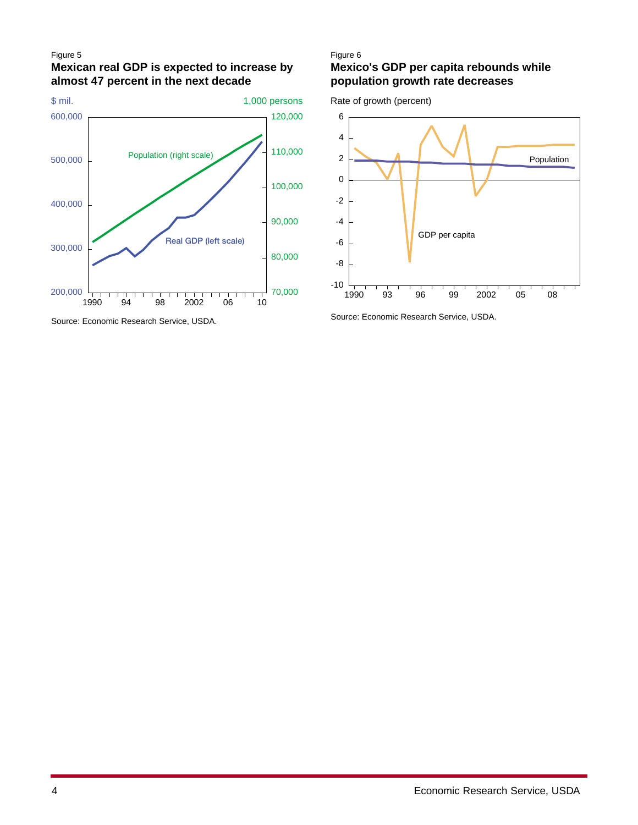#### Figure 5

### **Mexican real GDP is expected to increase by almost 47 percent in the next decade**



Source: Economic Research Service, USDA.

#### Figure 6

### **Mexico's GDP per capita rebounds while population growth rate decreases**

Rate of growth (percent)



Source: Economic Research Service, USDA.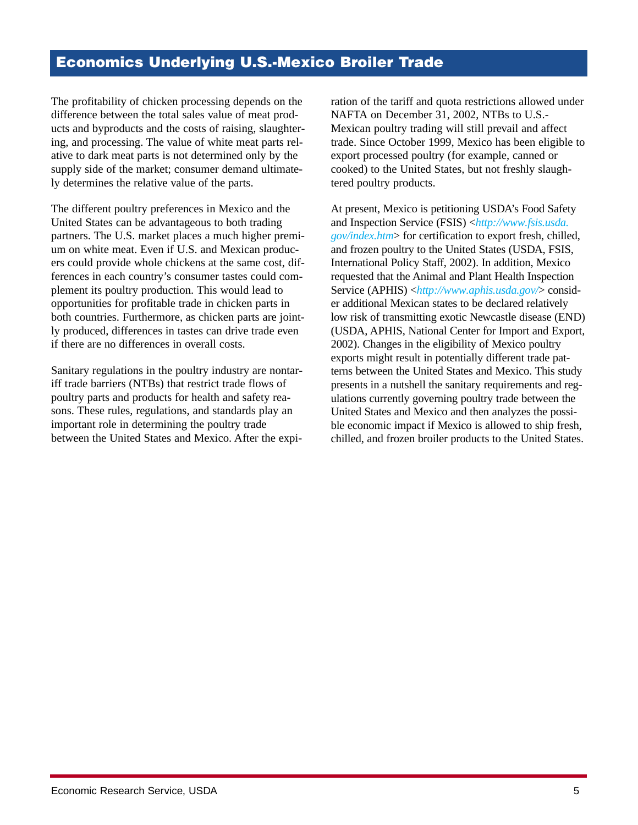### **Economics Underlying U.S.-Mexico Broiler Trade**

The profitability of chicken processing depends on the difference between the total sales value of meat products and byproducts and the costs of raising, slaughtering, and processing. The value of white meat parts relative to dark meat parts is not determined only by the supply side of the market; consumer demand ultimately determines the relative value of the parts.

The different poultry preferences in Mexico and the United States can be advantageous to both trading partners. The U.S. market places a much higher premium on white meat. Even if U.S. and Mexican producers could provide whole chickens at the same cost, differences in each country's consumer tastes could complement its poultry production. This would lead to opportunities for profitable trade in chicken parts in both countries. Furthermore, as chicken parts are jointly produced, differences in tastes can drive trade even if there are no differences in overall costs.

Sanitary regulations in the poultry industry are nontariff trade barriers (NTBs) that restrict trade flows of poultry parts and products for health and safety reasons. These rules, regulations, and standards play an important role in determining the poultry trade between the United States and Mexico. After the expi-

ration of the tariff and quota restrictions allowed under NAFTA on December 31, 2002, NTBs to U.S.- Mexican poultry trading will still prevail and affect trade. Since October 1999, Mexico has been eligible to export processed poultry (for example, canned or cooked) to the United States, but not freshly slaughtered poultry products.

At present, Mexico is petitioning USDA's Food Safety and Inspection Service (FSIS) <*[http://www.fsis.usda.](http://www.fsis.usda.gov/index.htm) [gov/index.htm](http://www.fsis.usda.gov/index.htm)*> for certification to export fresh, chilled, and frozen poultry to the United States (USDA, FSIS, International Policy Staff, 2002). In addition, Mexico requested that the Animal and Plant Health Inspection Service (APHIS) <*<http://www.aphis.usda.gov/>*> consider additional Mexican states to be declared relatively low risk of transmitting exotic Newcastle disease (END) (USDA, APHIS, National Center for Import and Export, 2002). Changes in the eligibility of Mexico poultry exports might result in potentially different trade patterns between the United States and Mexico. This study presents in a nutshell the sanitary requirements and regulations currently governing poultry trade between the United States and Mexico and then analyzes the possible economic impact if Mexico is allowed to ship fresh, chilled, and frozen broiler products to the United States.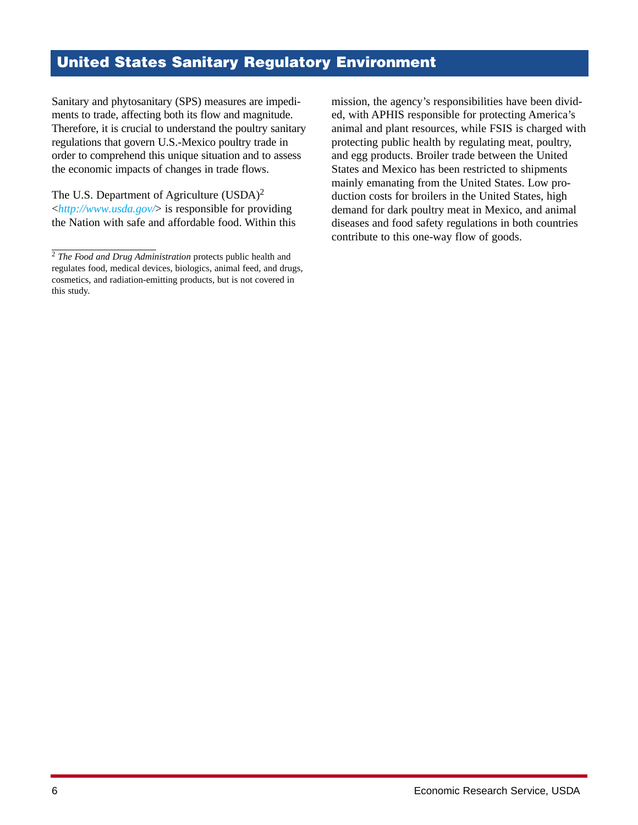# **United States Sanitary Regulatory Environment**

Sanitary and phytosanitary (SPS) measures are impediments to trade, affecting both its flow and magnitude. Therefore, it is crucial to understand the poultry sanitary regulations that govern U.S.-Mexico poultry trade in order to comprehend this unique situation and to assess the economic impacts of changes in trade flows.

The U.S. Department of Agriculture (USDA)<sup>2</sup> <*<http://www.usda.gov/>*> is responsible for providing the Nation with safe and affordable food. Within this mission, the agency's responsibilities have been divided, with APHIS responsible for protecting America's animal and plant resources, while FSIS is charged with protecting public health by regulating meat, poultry, and egg products. Broiler trade between the United States and Mexico has been restricted to shipments mainly emanating from the United States. Low production costs for broilers in the United States, high demand for dark poultry meat in Mexico, and animal diseases and food safety regulations in both countries contribute to this one-way flow of goods.

<sup>2</sup> *The Food and Drug Administration* protects public health and regulates food, medical devices, biologics, animal feed, and drugs, cosmetics, and radiation-emitting products, but is not covered in this study.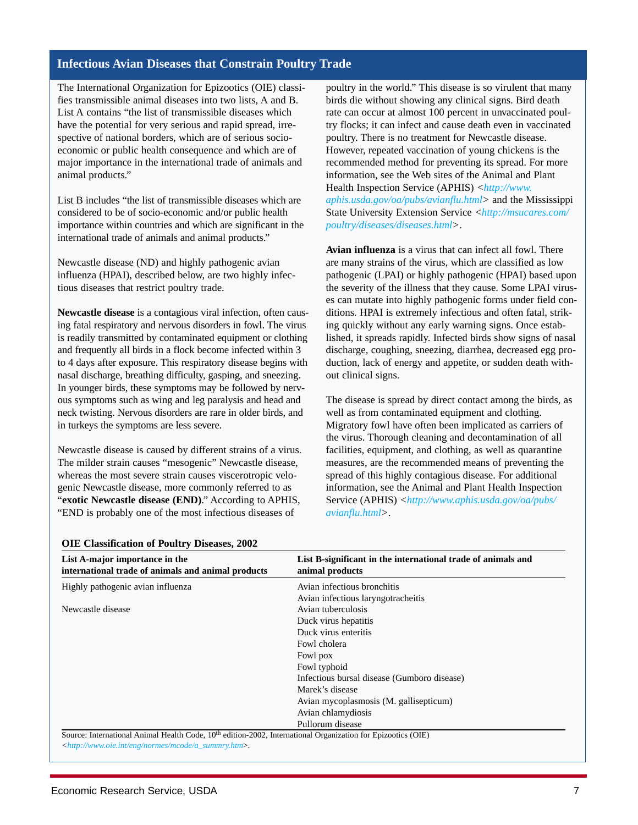#### **Infectious Avian Diseases that Constrain Poultry Trade**

The International Organization for Epizootics (OIE) classifies transmissible animal diseases into two lists, A and B. List A contains "the list of transmissible diseases which have the potential for very serious and rapid spread, irrespective of national borders, which are of serious socioeconomic or public health consequence and which are of major importance in the international trade of animals and animal products."

List B includes "the list of transmissible diseases which are considered to be of socio-economic and/or public health importance within countries and which are significant in the international trade of animals and animal products."

Newcastle disease (ND) and highly pathogenic avian influenza (HPAI), described below, are two highly infectious diseases that restrict poultry trade.

**Newcastle disease** is a contagious viral infection, often causing fatal respiratory and nervous disorders in fowl. The virus is readily transmitted by contaminated equipment or clothing and frequently all birds in a flock become infected within 3 to 4 days after exposure. This respiratory disease begins with nasal discharge, breathing difficulty, gasping, and sneezing. In younger birds, these symptoms may be followed by nervous symptoms such as wing and leg paralysis and head and neck twisting. Nervous disorders are rare in older birds, and in turkeys the symptoms are less severe.

Newcastle disease is caused by different strains of a virus. The milder strain causes "mesogenic" Newcastle disease, whereas the most severe strain causes viscerotropic velogenic Newcastle disease, more commonly referred to as "**exotic Newcastle disease (END)**." According to APHIS, "END is probably one of the most infectious diseases of

poultry in the world." This disease is so virulent that many birds die without showing any clinical signs. Bird death rate can occur at almost 100 percent in unvaccinated poultry flocks; it can infect and cause death even in vaccinated poultry. There is no treatment for Newcastle disease. However, repeated vaccination of young chickens is the recommended method for preventing its spread. For more information, see the Web sites of the Animal and Plant Health Inspection Service (APHIS) *<[http://www.](http://www.aphis.usda.gov/oa/pubs/avianflu.html) [aphis.usda.gov/oa/pubs/avianflu.html>](http://www.aphis.usda.gov/oa/pubs/avianflu.html)* and the Mississippi State University Extension Service *<[http://msucares.com/](http://msucares.com/poultry/diseases/diseases.html) [poultry/diseases/diseases.html>](http://msucares.com/poultry/diseases/diseases.html)*.

**Avian influenza** is a virus that can infect all fowl. There are many strains of the virus, which are classified as low pathogenic (LPAI) or highly pathogenic (HPAI) based upon the severity of the illness that they cause. Some LPAI viruses can mutate into highly pathogenic forms under field conditions. HPAI is extremely infectious and often fatal, striking quickly without any early warning signs. Once established, it spreads rapidly. Infected birds show signs of nasal discharge, coughing, sneezing, diarrhea, decreased egg production, lack of energy and appetite, or sudden death without clinical signs.

The disease is spread by direct contact among the birds, as well as from contaminated equipment and clothing. Migratory fowl have often been implicated as carriers of the virus. Thorough cleaning and decontamination of all facilities, equipment, and clothing, as well as quarantine measures, are the recommended means of preventing the spread of this highly contagious disease. For additional information, see the Animal and Plant Health Inspection Service (APHIS) *[<http://www.aphis.usda.gov/oa/pubs/](http://www.aphis.usda.gov/oa/pubs/avianflu.html) [avianflu.html>](http://www.aphis.usda.gov/oa/pubs/avianflu.html)*.

| List A-major importance in the<br>international trade of animals and animal products | List B-significant in the international trade of animals and<br>animal products |
|--------------------------------------------------------------------------------------|---------------------------------------------------------------------------------|
| Highly pathogenic avian influenza                                                    | Avian infectious bronchitis                                                     |
|                                                                                      | Avian infectious laryngotracheitis                                              |
| Newcastle disease                                                                    | Avian tuberculosis                                                              |
|                                                                                      | Duck virus hepatitis                                                            |
|                                                                                      | Duck virus enteritis                                                            |
|                                                                                      | Fowl cholera                                                                    |
|                                                                                      | Fowl pox                                                                        |
|                                                                                      | Fowl typhoid                                                                    |
|                                                                                      | Infectious bursal disease (Gumboro disease)                                     |
|                                                                                      | Marek's disease                                                                 |
|                                                                                      | Avian mycoplasmosis (M. gallisepticum)                                          |
|                                                                                      | Avian chlamydiosis                                                              |
|                                                                                      | Pullorum disease                                                                |

#### **OIE Classification of Poultry Diseases, 2002**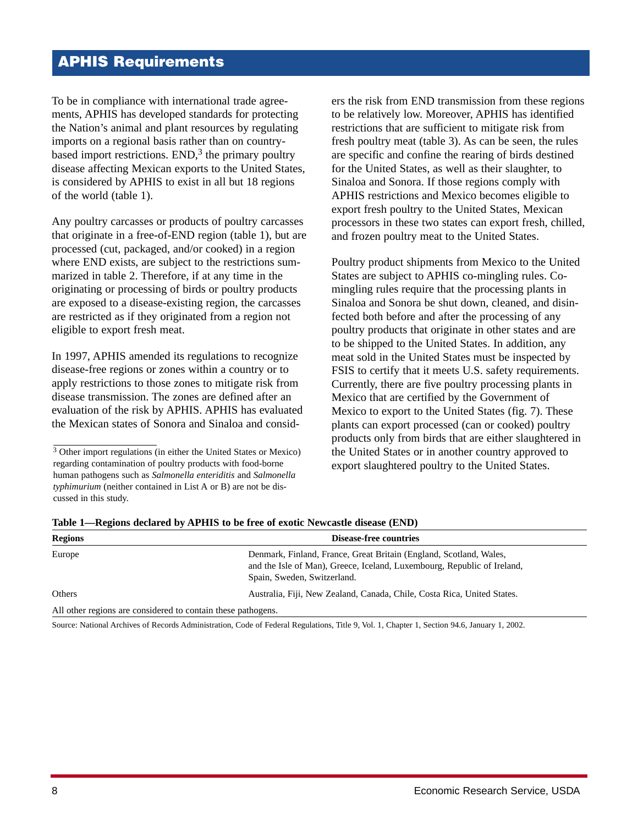# **APHIS Requirements**

To be in compliance with international trade agreements, APHIS has developed standards for protecting the Nation's animal and plant resources by regulating imports on a regional basis rather than on countrybased import restrictions.  $END<sub>1</sub><sup>3</sup>$  the primary poultry disease affecting Mexican exports to the United States, is considered by APHIS to exist in all but 18 regions of the world (table 1).

Any poultry carcasses or products of poultry carcasses that originate in a free-of-END region (table 1), but are processed (cut, packaged, and/or cooked) in a region where END exists, are subject to the restrictions summarized in table 2. Therefore, if at any time in the originating or processing of birds or poultry products are exposed to a disease-existing region, the carcasses are restricted as if they originated from a region not eligible to export fresh meat.

In 1997, APHIS amended its regulations to recognize disease-free regions or zones within a country or to apply restrictions to those zones to mitigate risk from disease transmission. The zones are defined after an evaluation of the risk by APHIS. APHIS has evaluated the Mexican states of Sonora and Sinaloa and considers the risk from END transmission from these regions to be relatively low. Moreover, APHIS has identified restrictions that are sufficient to mitigate risk from fresh poultry meat (table 3). As can be seen, the rules are specific and confine the rearing of birds destined for the United States, as well as their slaughter, to Sinaloa and Sonora. If those regions comply with APHIS restrictions and Mexico becomes eligible to export fresh poultry to the United States, Mexican processors in these two states can export fresh, chilled, and frozen poultry meat to the United States.

Poultry product shipments from Mexico to the United States are subject to APHIS co-mingling rules. Comingling rules require that the processing plants in Sinaloa and Sonora be shut down, cleaned, and disinfected both before and after the processing of any poultry products that originate in other states and are to be shipped to the United States. In addition, any meat sold in the United States must be inspected by FSIS to certify that it meets U.S. safety requirements. Currently, there are five poultry processing plants in Mexico that are certified by the Government of Mexico to export to the United States (fig. 7). These plants can export processed (can or cooked) poultry products only from birds that are either slaughtered in the United States or in another country approved to export slaughtered poultry to the United States.

| <b>Regions</b>                                               | Disease-free countries                                                                                                                                                       |  |
|--------------------------------------------------------------|------------------------------------------------------------------------------------------------------------------------------------------------------------------------------|--|
| Europe                                                       | Denmark, Finland, France, Great Britain (England, Scotland, Wales,<br>and the Isle of Man), Greece, Iceland, Luxembourg, Republic of Ireland,<br>Spain, Sweden, Switzerland. |  |
| Others                                                       | Australia, Fiji, New Zealand, Canada, Chile, Costa Rica, United States.                                                                                                      |  |
| All other regions are considered to contain these pathogens. |                                                                                                                                                                              |  |
|                                                              |                                                                                                                                                                              |  |

**Table 1—Regions declared by APHIS to be free of exotic Newcastle disease (END)**

Source: National Archives of Records Administration, Code of Federal Regulations, Title 9, Vol. 1, Chapter 1, Section 94.6, January 1, 2002.

<sup>3</sup> Other import regulations (in either the United States or Mexico) regarding contamination of poultry products with food-borne human pathogens such as *Salmonella enteriditis* and *Salmonella typhimurium* (neither contained in List A or B) are not be discussed in this study.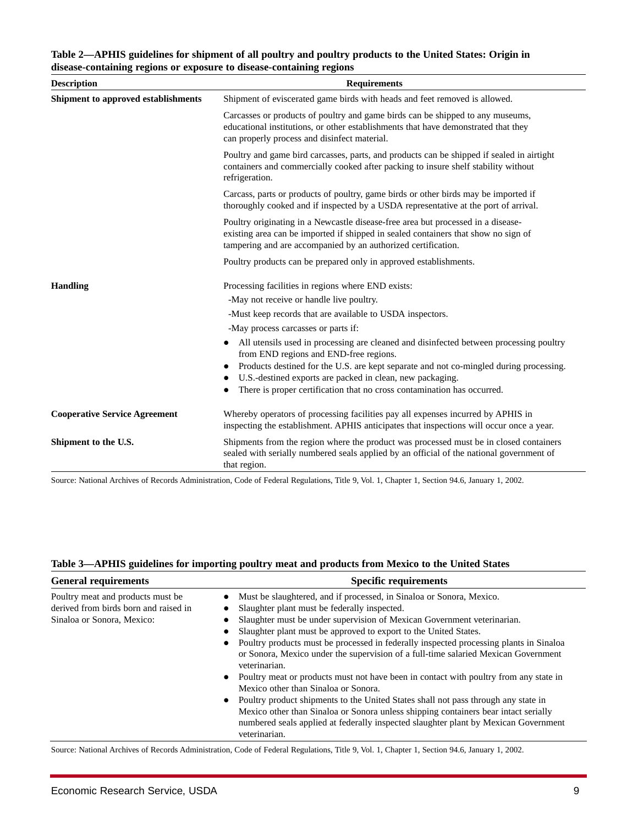#### **Table 2—APHIS guidelines for shipment of all poultry and poultry products to the United States: Origin in disease-containing regions or exposure to disease-containing regions**

| <b>Description</b>                   | <b>Requirements</b>                                                                                                                                                                                                                     |  |  |
|--------------------------------------|-----------------------------------------------------------------------------------------------------------------------------------------------------------------------------------------------------------------------------------------|--|--|
| Shipment to approved establishments  | Shipment of eviscerated game birds with heads and feet removed is allowed.                                                                                                                                                              |  |  |
|                                      | Carcasses or products of poultry and game birds can be shipped to any museums,<br>educational institutions, or other establishments that have demonstrated that they<br>can properly process and disinfect material.                    |  |  |
|                                      | Poultry and game bird carcasses, parts, and products can be shipped if sealed in airtight<br>containers and commercially cooked after packing to insure shelf stability without<br>refrigeration.                                       |  |  |
|                                      | Carcass, parts or products of poultry, game birds or other birds may be imported if<br>thoroughly cooked and if inspected by a USDA representative at the port of arrival.                                                              |  |  |
|                                      | Poultry originating in a Newcastle disease-free area but processed in a disease-<br>existing area can be imported if shipped in sealed containers that show no sign of<br>tampering and are accompanied by an authorized certification. |  |  |
|                                      | Poultry products can be prepared only in approved establishments.                                                                                                                                                                       |  |  |
| <b>Handling</b>                      | Processing facilities in regions where END exists:                                                                                                                                                                                      |  |  |
|                                      | -May not receive or handle live poultry.                                                                                                                                                                                                |  |  |
|                                      | -Must keep records that are available to USDA inspectors.                                                                                                                                                                               |  |  |
|                                      | -May process carcasses or parts if:                                                                                                                                                                                                     |  |  |
|                                      | All utensils used in processing are cleaned and disinfected between processing poultry<br>$\bullet$<br>from END regions and END-free regions.                                                                                           |  |  |
|                                      | Products destined for the U.S. are kept separate and not co-mingled during processing.<br>$\bullet$                                                                                                                                     |  |  |
|                                      | U.S.-destined exports are packed in clean, new packaging.                                                                                                                                                                               |  |  |
|                                      | There is proper certification that no cross contamination has occurred.                                                                                                                                                                 |  |  |
| <b>Cooperative Service Agreement</b> | Whereby operators of processing facilities pay all expenses incurred by APHIS in<br>inspecting the establishment. APHIS anticipates that inspections will occur once a year.                                                            |  |  |
| Shipment to the U.S.                 | Shipments from the region where the product was processed must be in closed containers<br>sealed with serially numbered seals applied by an official of the national government of<br>that region.                                      |  |  |

Source: National Archives of Records Administration, Code of Federal Regulations, Title 9, Vol. 1, Chapter 1, Section 94.6, January 1, 2002.

| <b>General requirements</b>                                                                               | <b>Specific requirements</b>                                                                                                                                                                                                                                                                                                                                                                                                                                                                                                                                                                                                                                                                                                                                                                                                                                                                            |
|-----------------------------------------------------------------------------------------------------------|---------------------------------------------------------------------------------------------------------------------------------------------------------------------------------------------------------------------------------------------------------------------------------------------------------------------------------------------------------------------------------------------------------------------------------------------------------------------------------------------------------------------------------------------------------------------------------------------------------------------------------------------------------------------------------------------------------------------------------------------------------------------------------------------------------------------------------------------------------------------------------------------------------|
| Poultry meat and products must be.<br>derived from birds born and raised in<br>Sinaloa or Sonora, Mexico: | Must be slaughtered, and if processed, in Sinaloa or Sonora, Mexico.<br>Slaughter plant must be federally inspected.<br>Slaughter must be under supervision of Mexican Government veterinarian.<br>Slaughter plant must be approved to export to the United States.<br>Poultry products must be processed in federally inspected processing plants in Sinaloa<br>or Sonora, Mexico under the supervision of a full-time salaried Mexican Government<br>veterinarian.<br>Poultry meat or products must not have been in contact with poultry from any state in<br>$\bullet$<br>Mexico other than Sinaloa or Sonora.<br>Poultry product shipments to the United States shall not pass through any state in<br>Mexico other than Sinaloa or Sonora unless shipping containers bear intact serially<br>numbered seals applied at federally inspected slaughter plant by Mexican Government<br>veterinarian. |

#### **Table 3—APHIS guidelines for importing poultry meat and products from Mexico to the United States**

Source: National Archives of Records Administration, Code of Federal Regulations, Title 9, Vol. 1, Chapter 1, Section 94.6, January 1, 2002.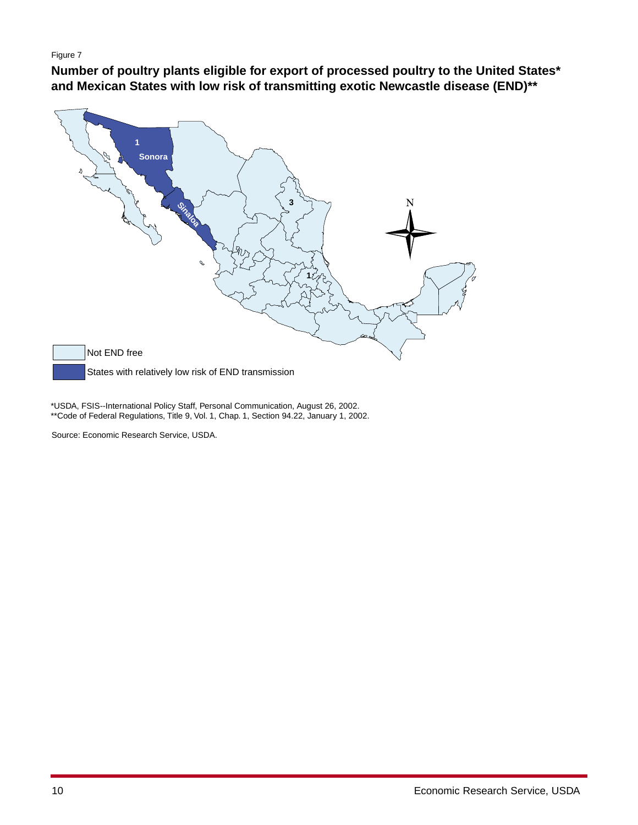#### Figure 7

**Number of poultry plants eligible for export of processed poultry to the United States\* and Mexican States with low risk of transmitting exotic Newcastle disease (END)\*\***



\*USDA, FSIS--International Policy Staff, Personal Communication, August 26, 2002. \*\*Code of Federal Regulations, Title 9, Vol. 1, Chap. 1, Section 94.22, January 1, 2002.

Source: Economic Research Service, USDA.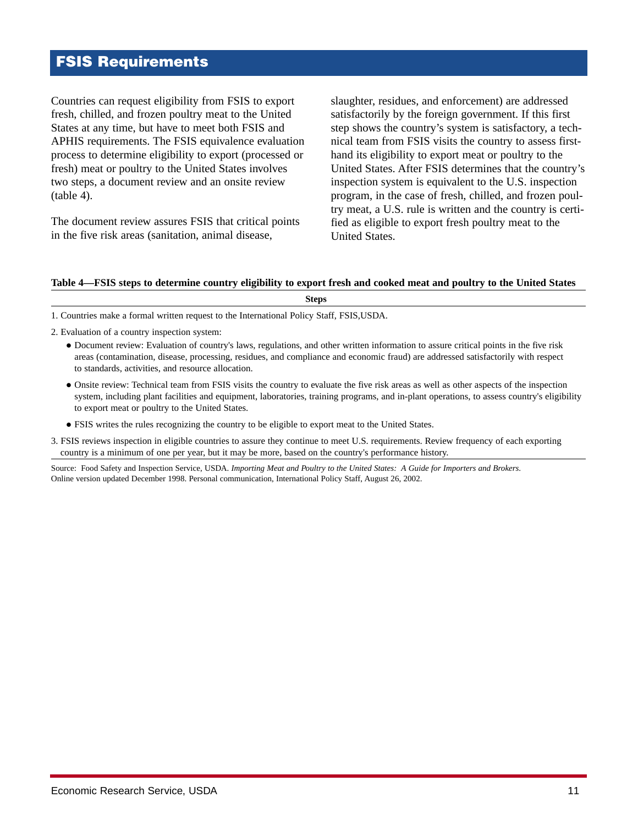# **FSIS Requirements**

Countries can request eligibility from FSIS to export fresh, chilled, and frozen poultry meat to the United States at any time, but have to meet both FSIS and APHIS requirements. The FSIS equivalence evaluation process to determine eligibility to export (processed or fresh) meat or poultry to the United States involves two steps, a document review and an onsite review (table 4).

The document review assures FSIS that critical points in the five risk areas (sanitation, animal disease,

slaughter, residues, and enforcement) are addressed satisfactorily by the foreign government. If this first step shows the country's system is satisfactory, a technical team from FSIS visits the country to assess firsthand its eligibility to export meat or poultry to the United States. After FSIS determines that the country's inspection system is equivalent to the U.S. inspection program, in the case of fresh, chilled, and frozen poultry meat, a U.S. rule is written and the country is certified as eligible to export fresh poultry meat to the United States.

#### **Table 4—FSIS steps to determine country eligibility to export fresh and cooked meat and poultry to the United States**

**Steps**

1. Countries make a formal written request to the International Policy Staff, FSIS,USDA.

- 2. Evaluation of a country inspection system:
	- Document review: Evaluation of country's laws, regulations, and other written information to assure critical points in the five risk areas (contamination, disease, processing, residues, and compliance and economic fraud) are addressed satisfactorily with respect to standards, activities, and resource allocation.
	- Onsite review: Technical team from FSIS visits the country to evaluate the five risk areas as well as other aspects of the inspection system, including plant facilities and equipment, laboratories, training programs, and in-plant operations, to assess country's eligibility to export meat or poultry to the United States.
	- FSIS writes the rules recognizing the country to be eligible to export meat to the United States.
- 3. FSIS reviews inspection in eligible countries to assure they continue to meet U.S. requirements. Review frequency of each exporting country is a minimum of one per year, but it may be more, based on the country's performance history.

Source: Food Safety and Inspection Service, USDA. *Importing Meat and Poultry to the United States: A Guide for Importers and Brokers*. Online version updated December 1998. Personal communication, International Policy Staff, August 26, 2002.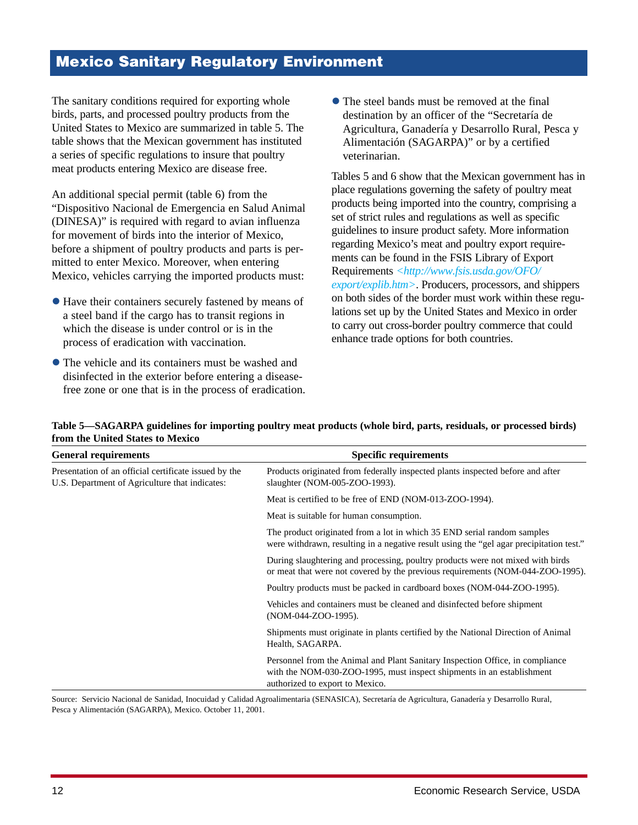## **Mexico Sanitary Regulatory Environment**

The sanitary conditions required for exporting whole birds, parts, and processed poultry products from the United States to Mexico are summarized in table 5. The table shows that the Mexican government has instituted a series of specific regulations to insure that poultry meat products entering Mexico are disease free.

An additional special permit (table 6) from the "Dispositivo Nacional de Emergencia en Salud Animal (DINESA)" is required with regard to avian influenza for movement of birds into the interior of Mexico, before a shipment of poultry products and parts is permitted to enter Mexico. Moreover, when entering Mexico, vehicles carrying the imported products must:

- Have their containers securely fastened by means of a steel band if the cargo has to transit regions in which the disease is under control or is in the process of eradication with vaccination.
- The vehicle and its containers must be washed and disinfected in the exterior before entering a diseasefree zone or one that is in the process of eradication.

• The steel bands must be removed at the final destination by an officer of the "Secretaría de Agricultura, Ganadería y Desarrollo Rural, Pesca y Alimentación (SAGARPA)" or by a certified veterinarian.

Tables 5 and 6 show that the Mexican government has in place regulations governing the safety of poultry meat products being imported into the country, comprising a set of strict rules and regulations as well as specific guidelines to insure product safety. More information regarding Mexico's meat and poultry export requirements can be found in the FSIS Library of Export Requirements *[<http://www.fsis.usda.gov/OFO/](http://www.fsis.usda.gov/OFO/export/explib.htm) [export/explib.htm>](http://www.fsis.usda.gov/OFO/export/explib.htm)*. Producers, processors, and shippers on both sides of the border must work within these regulations set up by the United States and Mexico in order to carry out cross-border poultry commerce that could enhance trade options for both countries.

#### **Table 5—SAGARPA guidelines for importing poultry meat products (whole bird, parts, residuals, or processed birds) from the United States to Mexico**

| <b>General requirements</b>                                                                             | <b>Specific requirements</b>                                                                                                                                                              |
|---------------------------------------------------------------------------------------------------------|-------------------------------------------------------------------------------------------------------------------------------------------------------------------------------------------|
| Presentation of an official certificate issued by the<br>U.S. Department of Agriculture that indicates: | Products originated from federally inspected plants inspected before and after<br>slaughter (NOM-005-ZOO-1993).                                                                           |
|                                                                                                         | Meat is certified to be free of END (NOM-013-ZOO-1994).                                                                                                                                   |
|                                                                                                         | Meat is suitable for human consumption.                                                                                                                                                   |
|                                                                                                         | The product originated from a lot in which 35 END serial random samples<br>were withdrawn, resulting in a negative result using the "gel agar precipitation test."                        |
|                                                                                                         | During slaughtering and processing, poultry products were not mixed with birds<br>or meat that were not covered by the previous requirements (NOM-044-ZOO-1995).                          |
|                                                                                                         | Poultry products must be packed in cardboard boxes (NOM-044-ZOO-1995).                                                                                                                    |
|                                                                                                         | Vehicles and containers must be cleaned and disinfected before shipment<br>(NOM-044-ZOO-1995).                                                                                            |
|                                                                                                         | Shipments must originate in plants certified by the National Direction of Animal<br>Health, SAGARPA.                                                                                      |
|                                                                                                         | Personnel from the Animal and Plant Sanitary Inspection Office, in compliance<br>with the NOM-030-ZOO-1995, must inspect shipments in an establishment<br>authorized to export to Mexico. |

Source: Servicio Nacional de Sanidad, Inocuidad y Calidad Agroalimentaria (SENASICA), Secretaría de Agricultura, Ganadería y Desarrollo Rural, Pesca y Alimentación (SAGARPA), Mexico. October 11, 2001.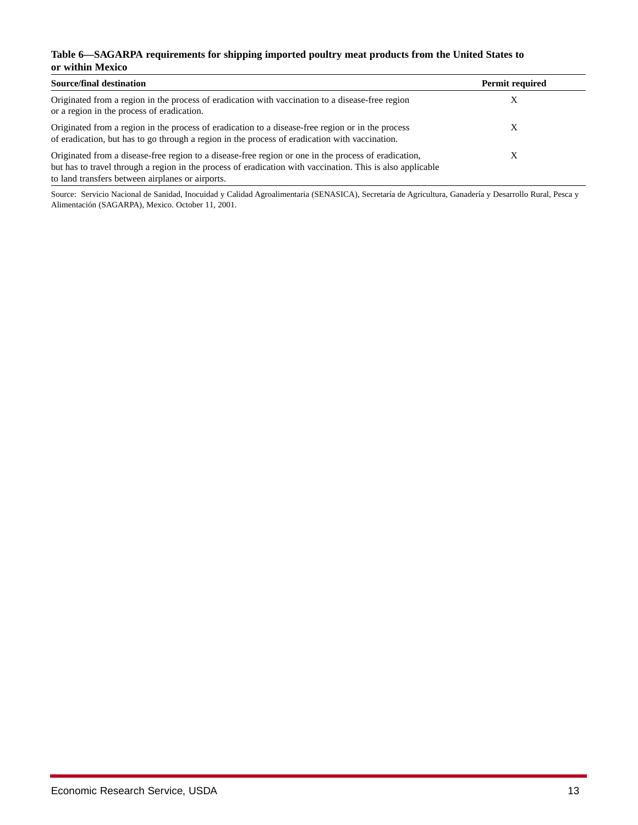#### **Table 6—SAGARPA requirements for shipping imported poultry meat products from the United States to or within Mexico**

| <b>Source/final destination</b>                                                                                                                                                                                                                                        | <b>Permit required</b> |
|------------------------------------------------------------------------------------------------------------------------------------------------------------------------------------------------------------------------------------------------------------------------|------------------------|
| Originated from a region in the process of eradication with vaccination to a disease-free region<br>or a region in the process of eradication.                                                                                                                         |                        |
| Originated from a region in the process of eradication to a disease-free region or in the process<br>of eradication, but has to go through a region in the process of eradication with vaccination.                                                                    |                        |
| Originated from a disease-free region to a disease-free region or one in the process of eradication,<br>but has to travel through a region in the process of eradication with vaccination. This is also applicable<br>to land transfers between airplanes or airports. |                        |

Source: Servicio Nacional de Sanidad, Inocuidad y Calidad Agroalimentaria (SENASICA), Secretaría de Agricultura, Ganadería y Desarrollo Rural, Pesca y Alimentación (SAGARPA), Mexico. October 11, 2001.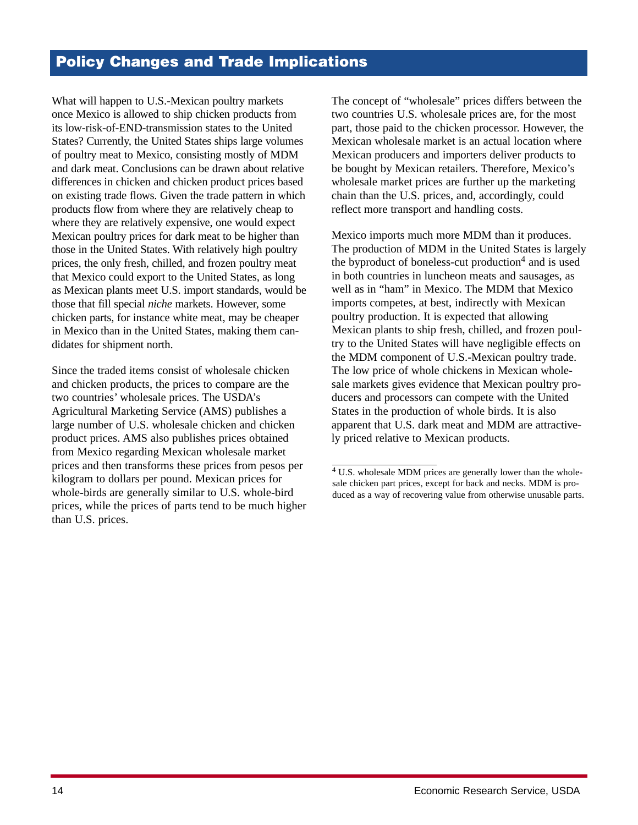# **Policy Changes and Trade Implications**

What will happen to U.S.-Mexican poultry markets once Mexico is allowed to ship chicken products from its low-risk-of-END-transmission states to the United States? Currently, the United States ships large volumes of poultry meat to Mexico, consisting mostly of MDM and dark meat. Conclusions can be drawn about relative differences in chicken and chicken product prices based on existing trade flows. Given the trade pattern in which products flow from where they are relatively cheap to where they are relatively expensive, one would expect Mexican poultry prices for dark meat to be higher than those in the United States. With relatively high poultry prices, the only fresh, chilled, and frozen poultry meat that Mexico could export to the United States, as long as Mexican plants meet U.S. import standards, would be those that fill special *niche* markets. However, some chicken parts, for instance white meat, may be cheaper in Mexico than in the United States, making them candidates for shipment north.

Since the traded items consist of wholesale chicken and chicken products, the prices to compare are the two countries' wholesale prices. The USDA's Agricultural Marketing Service (AMS) publishes a large number of U.S. wholesale chicken and chicken product prices. AMS also publishes prices obtained from Mexico regarding Mexican wholesale market prices and then transforms these prices from pesos per kilogram to dollars per pound. Mexican prices for whole-birds are generally similar to U.S. whole-bird prices, while the prices of parts tend to be much higher than U.S. prices.

The concept of "wholesale" prices differs between the two countries U.S. wholesale prices are, for the most part, those paid to the chicken processor. However, the Mexican wholesale market is an actual location where Mexican producers and importers deliver products to be bought by Mexican retailers. Therefore, Mexico's wholesale market prices are further up the marketing chain than the U.S. prices, and, accordingly, could reflect more transport and handling costs.

Mexico imports much more MDM than it produces. The production of MDM in the United States is largely the byproduct of boneless-cut production<sup>4</sup> and is used in both countries in luncheon meats and sausages, as well as in "ham" in Mexico. The MDM that Mexico imports competes, at best, indirectly with Mexican poultry production. It is expected that allowing Mexican plants to ship fresh, chilled, and frozen poultry to the United States will have negligible effects on the MDM component of U.S.-Mexican poultry trade. The low price of whole chickens in Mexican wholesale markets gives evidence that Mexican poultry producers and processors can compete with the United States in the production of whole birds. It is also apparent that U.S. dark meat and MDM are attractively priced relative to Mexican products.

<sup>&</sup>lt;sup>4</sup> U.S. wholesale MDM prices are generally lower than the wholesale chicken part prices, except for back and necks. MDM is produced as a way of recovering value from otherwise unusable parts.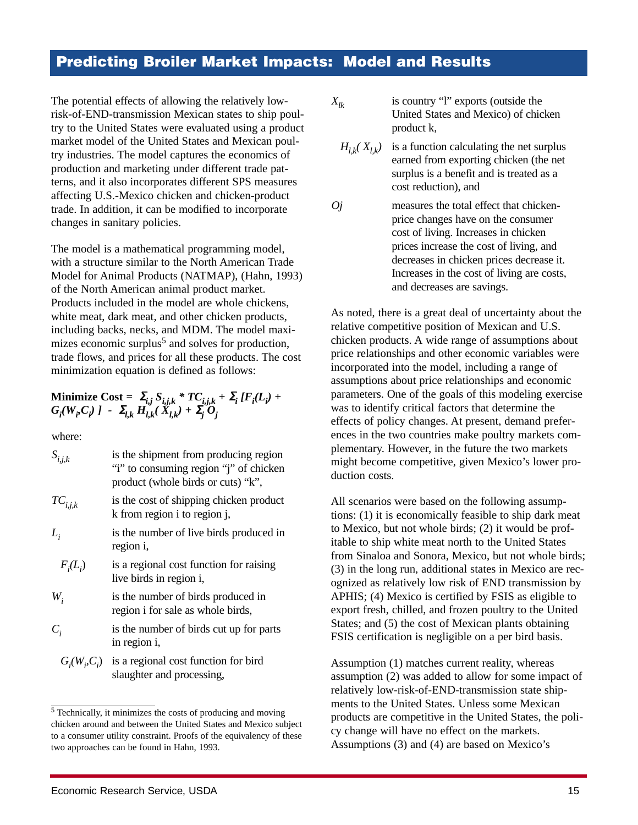### **Predicting Broiler Market Impacts: Model and Results**

The potential effects of allowing the relatively lowrisk-of-END-transmission Mexican states to ship poultry to the United States were evaluated using a product market model of the United States and Mexican poultry industries. The model captures the economics of production and marketing under different trade patterns, and it also incorporates different SPS measures affecting U.S.-Mexico chicken and chicken-product trade. In addition, it can be modified to incorporate changes in sanitary policies.

The model is a mathematical programming model, with a structure similar to the North American Trade Model for Animal Products (NATMAP), (Hahn, 1993) of the North American animal product market. Products included in the model are whole chickens, white meat, dark meat, and other chicken products. including backs, necks, and MDM. The model maximizes economic surplus<sup>5</sup> and solves for production, trade flows, and prices for all these products. The cost minimization equation is defined as follows:

Minimize Cost = 
$$
\sum_{i,j} S_{i,j,k} * TC_{i,j,k} + \sum_{i} [F_i(L_i) + G_i(W_i, C_i)] - \sum_{l,k} H_{l,k}(X_{l,k}) + \sum_{j} O_j
$$

where:

| $S_{i,j,k}$  | is the shipment from producing region<br>"i" to consuming region "j" of chicken<br>product (whole birds or cuts) "k", |
|--------------|-----------------------------------------------------------------------------------------------------------------------|
| $TC_{i,j,k}$ | is the cost of shipping chicken product<br>k from region i to region j,                                               |
| $L_i$        | is the number of live birds produced in<br>region i,                                                                  |
| $F_i(L_i)$   | is a regional cost function for raising<br>live birds in region i,                                                    |
| $W_i$        | is the number of birds produced in<br>region i for sale as whole birds,                                               |
| $C_i$        | is the number of birds cut up for parts<br>in region i,                                                               |
|              | $G_i(W_i, C_i)$ is a regional cost function for bird<br>slaughter and processing,                                     |

<sup>5</sup> Technically, it minimizes the costs of producing and moving chicken around and between the United States and Mexico subject to a consumer utility constraint. Proofs of the equivalency of these two approaches can be found in Hahn, 1993.

$$
X_{lk}
$$

is country "l" exports (outside the United States and Mexico) of chicken product k,

- $H_{lk}(X_{lk})$  is a function calculating the net surplus earned from exporting chicken (the net surplus is a benefit and is treated as a cost reduction), and
- *Oj* measures the total effect that chickenprice changes have on the consumer cost of living. Increases in chicken prices increase the cost of living, and decreases in chicken prices decrease it. Increases in the cost of living are costs, and decreases are savings.

As noted, there is a great deal of uncertainty about the relative competitive position of Mexican and U.S. chicken products. A wide range of assumptions about price relationships and other economic variables were incorporated into the model, including a range of assumptions about price relationships and economic parameters. One of the goals of this modeling exercise was to identify critical factors that determine the effects of policy changes. At present, demand preferences in the two countries make poultry markets complementary. However, in the future the two markets might become competitive, given Mexico's lower production costs.

All scenarios were based on the following assumptions: (1) it is economically feasible to ship dark meat to Mexico, but not whole birds; (2) it would be profitable to ship white meat north to the United States from Sinaloa and Sonora, Mexico, but not whole birds; (3) in the long run, additional states in Mexico are recognized as relatively low risk of END transmission by APHIS; (4) Mexico is certified by FSIS as eligible to export fresh, chilled, and frozen poultry to the United States; and (5) the cost of Mexican plants obtaining FSIS certification is negligible on a per bird basis.

Assumption (1) matches current reality, whereas assumption (2) was added to allow for some impact of relatively low-risk-of-END-transmission state shipments to the United States. Unless some Mexican products are competitive in the United States, the policy change will have no effect on the markets. Assumptions (3) and (4) are based on Mexico's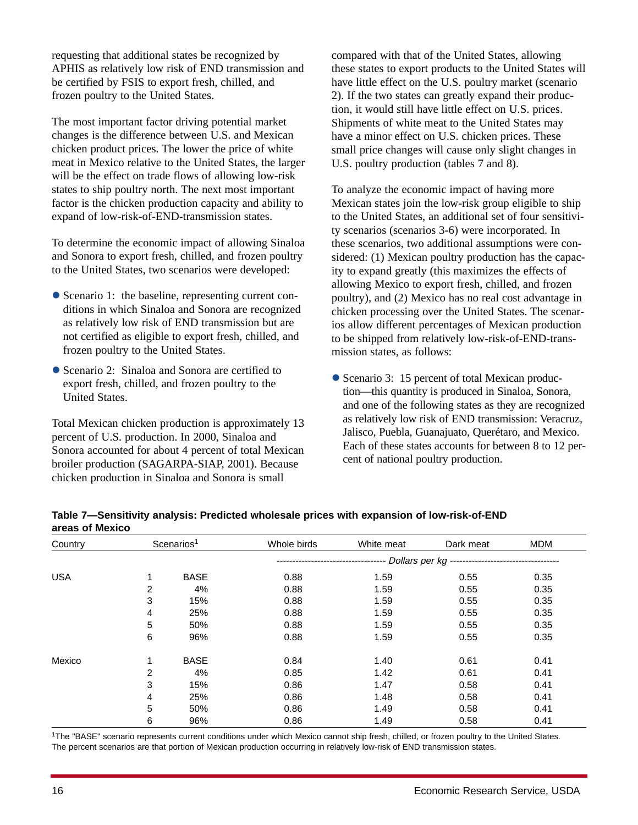requesting that additional states be recognized by APHIS as relatively low risk of END transmission and be certified by FSIS to export fresh, chilled, and frozen poultry to the United States.

The most important factor driving potential market changes is the difference between U.S. and Mexican chicken product prices. The lower the price of white meat in Mexico relative to the United States, the larger will be the effect on trade flows of allowing low-risk states to ship poultry north. The next most important factor is the chicken production capacity and ability to expand of low-risk-of-END-transmission states.

To determine the economic impact of allowing Sinaloa and Sonora to export fresh, chilled, and frozen poultry to the United States, two scenarios were developed:

- Scenario 1: the baseline, representing current conditions in which Sinaloa and Sonora are recognized as relatively low risk of END transmission but are not certified as eligible to export fresh, chilled, and frozen poultry to the United States.
- Scenario 2: Sinaloa and Sonora are certified to export fresh, chilled, and frozen poultry to the United States.

Total Mexican chicken production is approximately 13 percent of U.S. production. In 2000, Sinaloa and Sonora accounted for about 4 percent of total Mexican broiler production (SAGARPA-SIAP, 2001). Because chicken production in Sinaloa and Sonora is small

compared with that of the United States, allowing these states to export products to the United States will have little effect on the U.S. poultry market (scenario 2). If the two states can greatly expand their production, it would still have little effect on U.S. prices. Shipments of white meat to the United States may have a minor effect on U.S. chicken prices. These small price changes will cause only slight changes in U.S. poultry production (tables 7 and 8).

To analyze the economic impact of having more Mexican states join the low-risk group eligible to ship to the United States, an additional set of four sensitivity scenarios (scenarios 3-6) were incorporated. In these scenarios, two additional assumptions were considered: (1) Mexican poultry production has the capacity to expand greatly (this maximizes the effects of allowing Mexico to export fresh, chilled, and frozen poultry), and (2) Mexico has no real cost advantage in chicken processing over the United States. The scenarios allow different percentages of Mexican production to be shipped from relatively low-risk-of-END-transmission states, as follows:

• Scenario 3: 15 percent of total Mexican production—this quantity is produced in Sinaloa, Sonora, and one of the following states as they are recognized as relatively low risk of END transmission: Veracruz, Jalisco, Puebla, Guanajuato, Querétaro, and Mexico. Each of these states accounts for between 8 to 12 percent of national poultry production.

| Table 7—Sensitivity analysis: Predicted wholesale prices with expansion of low-risk-of-END |  |
|--------------------------------------------------------------------------------------------|--|
| areas of Mexico                                                                            |  |

| Country    |   | Scenarios <sup>1</sup> | Whole birds                            | White meat | Dark meat | <b>MDM</b> |
|------------|---|------------------------|----------------------------------------|------------|-----------|------------|
|            |   |                        | -- Dollars per kg -------------------- |            |           |            |
| <b>USA</b> |   | <b>BASE</b>            | 0.88                                   | 1.59       | 0.55      | 0.35       |
|            | 2 | 4%                     | 0.88                                   | 1.59       | 0.55      | 0.35       |
|            | 3 | 15%                    | 0.88                                   | 1.59       | 0.55      | 0.35       |
|            | 4 | 25%                    | 0.88                                   | 1.59       | 0.55      | 0.35       |
|            | 5 | 50%                    | 0.88                                   | 1.59       | 0.55      | 0.35       |
|            | 6 | 96%                    | 0.88                                   | 1.59       | 0.55      | 0.35       |
| Mexico     | 1 | <b>BASE</b>            | 0.84                                   | 1.40       | 0.61      | 0.41       |
|            | 2 | 4%                     | 0.85                                   | 1.42       | 0.61      | 0.41       |
|            | 3 | 15%                    | 0.86                                   | 1.47       | 0.58      | 0.41       |
|            | 4 | 25%                    | 0.86                                   | 1.48       | 0.58      | 0.41       |
|            | 5 | 50%                    | 0.86                                   | 1.49       | 0.58      | 0.41       |
|            | 6 | 96%                    | 0.86                                   | 1.49       | 0.58      | 0.41       |

1The "BASE" scenario represents current conditions under which Mexico cannot ship fresh, chilled, or frozen poultry to the United States. The percent scenarios are that portion of Mexican production occurring in relatively low-risk of END transmission states.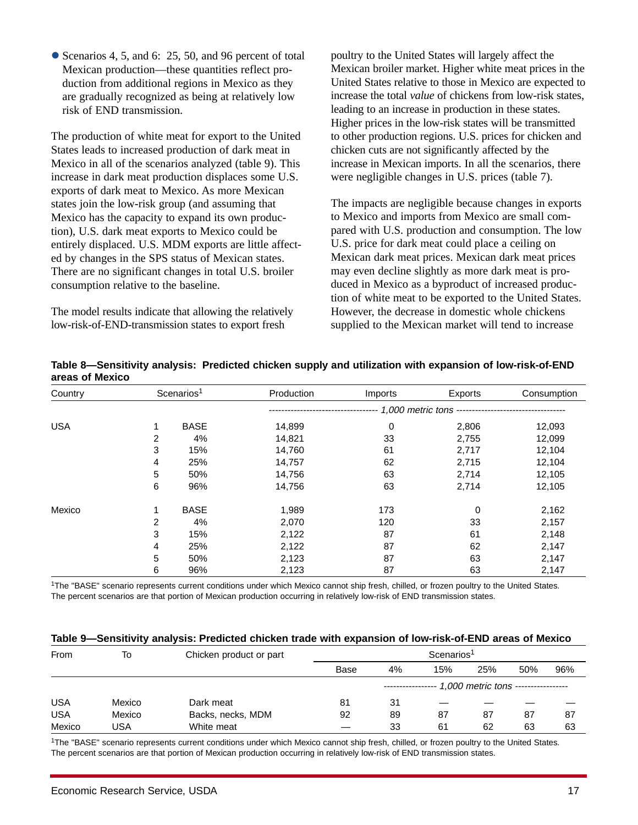• Scenarios 4, 5, and 6: 25, 50, and 96 percent of total Mexican production—these quantities reflect production from additional regions in Mexico as they are gradually recognized as being at relatively low risk of END transmission.

The production of white meat for export to the United States leads to increased production of dark meat in Mexico in all of the scenarios analyzed (table 9). This increase in dark meat production displaces some U.S. exports of dark meat to Mexico. As more Mexican states join the low-risk group (and assuming that Mexico has the capacity to expand its own production), U.S. dark meat exports to Mexico could be entirely displaced. U.S. MDM exports are little affected by changes in the SPS status of Mexican states. There are no significant changes in total U.S. broiler consumption relative to the baseline.

The model results indicate that allowing the relatively low-risk-of-END-transmission states to export fresh

poultry to the United States will largely affect the Mexican broiler market. Higher white meat prices in the United States relative to those in Mexico are expected to increase the total *value* of chickens from low-risk states, leading to an increase in production in these states. Higher prices in the low-risk states will be transmitted to other production regions. U.S. prices for chicken and chicken cuts are not significantly affected by the increase in Mexican imports. In all the scenarios, there were negligible changes in U.S. prices (table 7).

The impacts are negligible because changes in exports to Mexico and imports from Mexico are small compared with U.S. production and consumption. The low U.S. price for dark meat could place a ceiling on Mexican dark meat prices. Mexican dark meat prices may even decline slightly as more dark meat is produced in Mexico as a byproduct of increased production of white meat to be exported to the United States. However, the decrease in domestic whole chickens supplied to the Mexican market will tend to increase

| Country    |            | Scenarios <sup>1</sup> | Production            | Imports | Exports | Consumption |  |
|------------|------------|------------------------|-----------------------|---------|---------|-------------|--|
|            |            |                        | 1,000 metric tons --- |         |         |             |  |
| <b>USA</b> |            | <b>BASE</b>            | 14,899                | 0       | 2,806   | 12,093      |  |
|            | 2          | 4%                     | 14,821                | 33      | 2,755   | 12,099      |  |
|            | 3          | 15%                    | 14,760                | 61      | 2,717   | 12,104      |  |
|            | 4          | 25%                    | 14,757                | 62      | 2,715   | 12,104      |  |
|            | $\sqrt{5}$ | 50%                    | 14,756                | 63      | 2,714   | 12,105      |  |
|            | 6          | 96%                    | 14,756                | 63      | 2,714   | 12,105      |  |
| Mexico     | 1          | <b>BASE</b>            | 1,989                 | 173     | 0       | 2,162       |  |
|            | 2          | 4%                     | 2,070                 | 120     | 33      | 2,157       |  |
|            | 3          | 15%                    | 2,122                 | 87      | 61      | 2,148       |  |
|            | 4          | 25%                    | 2,122                 | 87      | 62      | 2,147       |  |
|            | $\sqrt{5}$ | 50%                    | 2,123                 | 87      | 63      | 2,147       |  |
|            | 6          | 96%                    | 2,123                 | 87      | 63      | 2,147       |  |

#### **Table 8—Sensitivity analysis: Predicted chicken supply and utilization with expansion of low-risk-of-END areas of Mexico**

1The "BASE" scenario represents current conditions under which Mexico cannot ship fresh, chilled, or frozen poultry to the United States. The percent scenarios are that portion of Mexican production occurring in relatively low-risk of END transmission states.

| Table 9—Sensitivity analysis: Predicted chicken trade with expansion of low-risk-of-END areas of Mexico |  |  |  |  |  |
|---------------------------------------------------------------------------------------------------------|--|--|--|--|--|
|---------------------------------------------------------------------------------------------------------|--|--|--|--|--|

| <b>From</b> | To     | Chicken product or part | Scenarios <sup>1</sup> |    |                                                      |     |     |     |
|-------------|--------|-------------------------|------------------------|----|------------------------------------------------------|-----|-----|-----|
|             |        |                         | Base                   | 4% | 15%                                                  | 25% | 50% | 96% |
|             |        |                         |                        |    | ---------------- 1,000 metric tons ----------------- |     |     |     |
| <b>USA</b>  | Mexico | Dark meat               | 81                     | 31 |                                                      |     |     |     |
| <b>USA</b>  | Mexico | Backs, necks, MDM       | 92                     | 89 | 87                                                   | 87  | 87  | 87  |
| Mexico      | USA    | White meat              |                        | 33 | 61                                                   | 62  | 63  | 63  |

1The "BASE" scenario represents current conditions under which Mexico cannot ship fresh, chilled, or frozen poultry to the United States. The percent scenarios are that portion of Mexican production occurring in relatively low-risk of END transmission states.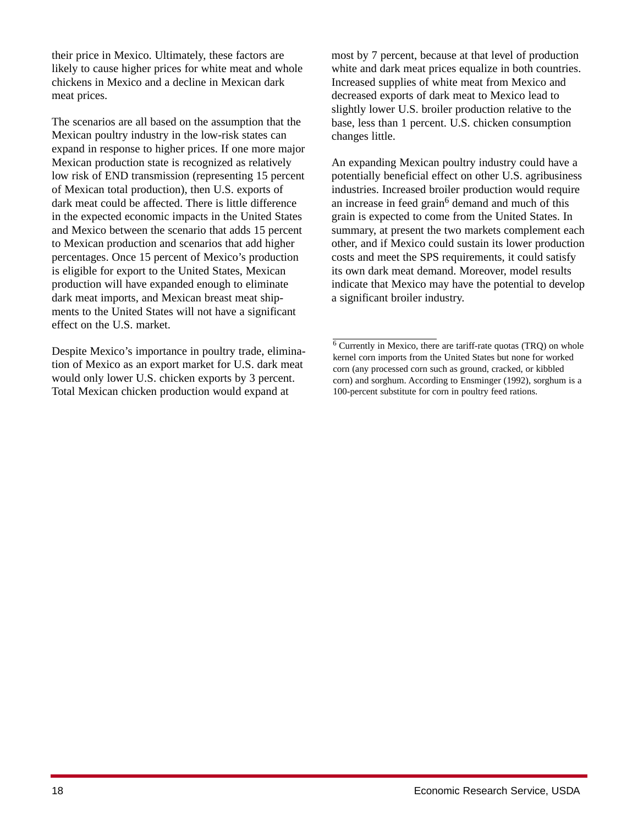their price in Mexico. Ultimately, these factors are likely to cause higher prices for white meat and whole chickens in Mexico and a decline in Mexican dark meat prices.

The scenarios are all based on the assumption that the Mexican poultry industry in the low-risk states can expand in response to higher prices. If one more major Mexican production state is recognized as relatively low risk of END transmission (representing 15 percent of Mexican total production), then U.S. exports of dark meat could be affected. There is little difference in the expected economic impacts in the United States and Mexico between the scenario that adds 15 percent to Mexican production and scenarios that add higher percentages. Once 15 percent of Mexico's production is eligible for export to the United States, Mexican production will have expanded enough to eliminate dark meat imports, and Mexican breast meat shipments to the United States will not have a significant effect on the U.S. market.

Despite Mexico's importance in poultry trade, elimination of Mexico as an export market for U.S. dark meat would only lower U.S. chicken exports by 3 percent. Total Mexican chicken production would expand at

most by 7 percent, because at that level of production white and dark meat prices equalize in both countries. Increased supplies of white meat from Mexico and decreased exports of dark meat to Mexico lead to slightly lower U.S. broiler production relative to the base, less than 1 percent. U.S. chicken consumption changes little.

An expanding Mexican poultry industry could have a potentially beneficial effect on other U.S. agribusiness industries. Increased broiler production would require an increase in feed grain<sup>6</sup> demand and much of this grain is expected to come from the United States. In summary, at present the two markets complement each other, and if Mexico could sustain its lower production costs and meet the SPS requirements, it could satisfy its own dark meat demand. Moreover, model results indicate that Mexico may have the potential to develop a significant broiler industry.

 $6$  Currently in Mexico, there are tariff-rate quotas (TRQ) on whole kernel corn imports from the United States but none for worked corn (any processed corn such as ground, cracked, or kibbled corn) and sorghum. According to Ensminger (1992), sorghum is a 100-percent substitute for corn in poultry feed rations.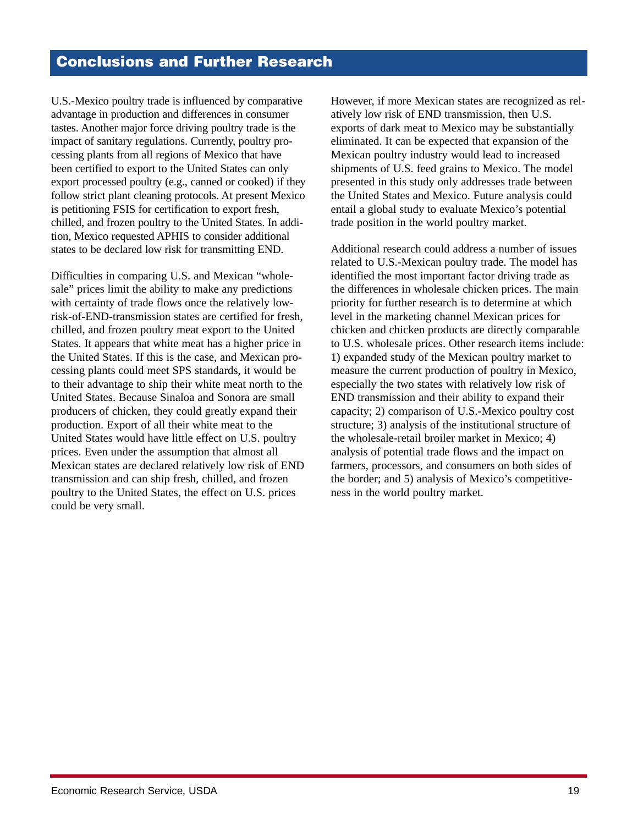### **Conclusions and Further Research**

U.S.-Mexico poultry trade is influenced by comparative advantage in production and differences in consumer tastes. Another major force driving poultry trade is the impact of sanitary regulations. Currently, poultry processing plants from all regions of Mexico that have been certified to export to the United States can only export processed poultry (e.g., canned or cooked) if they follow strict plant cleaning protocols. At present Mexico is petitioning FSIS for certification to export fresh, chilled, and frozen poultry to the United States. In addition, Mexico requested APHIS to consider additional states to be declared low risk for transmitting END.

Difficulties in comparing U.S. and Mexican "wholesale" prices limit the ability to make any predictions with certainty of trade flows once the relatively lowrisk-of-END-transmission states are certified for fresh, chilled, and frozen poultry meat export to the United States. It appears that white meat has a higher price in the United States. If this is the case, and Mexican processing plants could meet SPS standards, it would be to their advantage to ship their white meat north to the United States. Because Sinaloa and Sonora are small producers of chicken, they could greatly expand their production. Export of all their white meat to the United States would have little effect on U.S. poultry prices. Even under the assumption that almost all Mexican states are declared relatively low risk of END transmission and can ship fresh, chilled, and frozen poultry to the United States, the effect on U.S. prices could be very small.

However, if more Mexican states are recognized as relatively low risk of END transmission, then U.S. exports of dark meat to Mexico may be substantially eliminated. It can be expected that expansion of the Mexican poultry industry would lead to increased shipments of U.S. feed grains to Mexico. The model presented in this study only addresses trade between the United States and Mexico. Future analysis could entail a global study to evaluate Mexico's potential trade position in the world poultry market.

Additional research could address a number of issues related to U.S.-Mexican poultry trade. The model has identified the most important factor driving trade as the differences in wholesale chicken prices. The main priority for further research is to determine at which level in the marketing channel Mexican prices for chicken and chicken products are directly comparable to U.S. wholesale prices. Other research items include: 1) expanded study of the Mexican poultry market to measure the current production of poultry in Mexico, especially the two states with relatively low risk of END transmission and their ability to expand their capacity; 2) comparison of U.S.-Mexico poultry cost structure; 3) analysis of the institutional structure of the wholesale-retail broiler market in Mexico; 4) analysis of potential trade flows and the impact on farmers, processors, and consumers on both sides of the border; and 5) analysis of Mexico's competitiveness in the world poultry market.